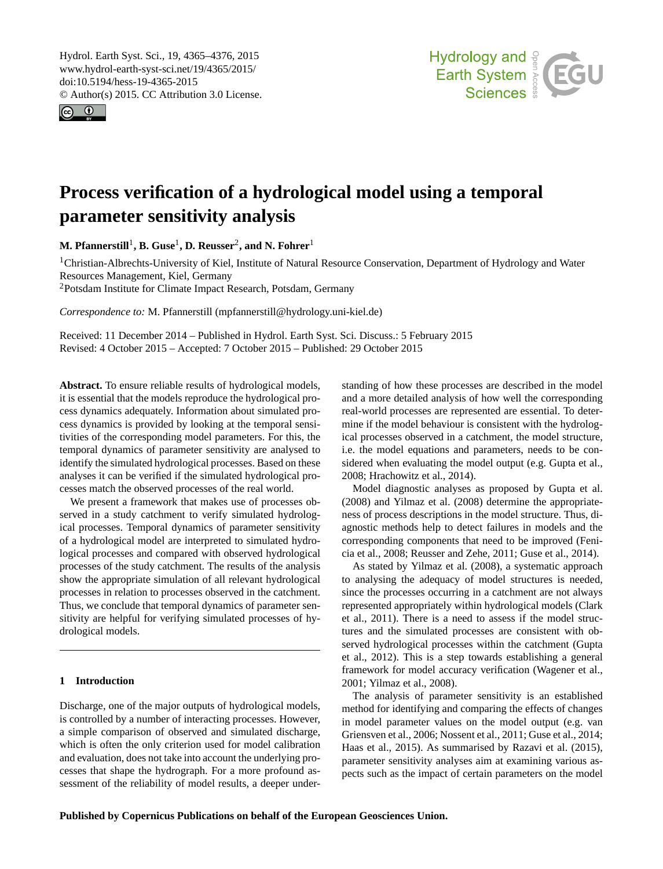<span id="page-0-1"></span>Hydrol. Earth Syst. Sci., 19, 4365–4376, 2015 www.hydrol-earth-syst-sci.net/19/4365/2015/ doi:10.5194/hess-19-4365-2015 © Author(s) 2015. CC Attribution 3.0 License.





# **Process verification of a hydrological model using a temporal parameter sensitivity analysis**

**M. Pfannerstill**[1](#page-0-0) **, B. Guse**[1](#page-0-0) **, D. Reusser**[2](#page-0-0) **, and N. Fohrer**[1](#page-0-0)

<sup>1</sup>Christian-Albrechts-University of Kiel, Institute of Natural Resource Conservation, Department of Hydrology and Water Resources Management, Kiel, Germany

<sup>2</sup>Potsdam Institute for Climate Impact Research, Potsdam, Germany

*Correspondence to:* M. Pfannerstill (mpfannerstill@hydrology.uni-kiel.de)

Received: 11 December 2014 – Published in Hydrol. Earth Syst. Sci. Discuss.: 5 February 2015 Revised: 4 October 2015 – Accepted: 7 October 2015 – Published: 29 October 2015

<span id="page-0-0"></span>**Abstract.** To ensure reliable results of hydrological models, it is essential that the models reproduce the hydrological process dynamics adequately. Information about simulated process dynamics is provided by looking at the temporal sensitivities of the corresponding model parameters. For this, the temporal dynamics of parameter sensitivity are analysed to identify the simulated hydrological processes. Based on these analyses it can be verified if the simulated hydrological processes match the observed processes of the real world.

We present a framework that makes use of processes observed in a study catchment to verify simulated hydrological processes. Temporal dynamics of parameter sensitivity of a hydrological model are interpreted to simulated hydrological processes and compared with observed hydrological processes of the study catchment. The results of the analysis show the appropriate simulation of all relevant hydrological processes in relation to processes observed in the catchment. Thus, we conclude that temporal dynamics of parameter sensitivity are helpful for verifying simulated processes of hydrological models.

# **1 Introduction**

Discharge, one of the major outputs of hydrological models, is controlled by a number of interacting processes. However, a simple comparison of observed and simulated discharge, which is often the only criterion used for model calibration and evaluation, does not take into account the underlying processes that shape the hydrograph. For a more profound assessment of the reliability of model results, a deeper understanding of how these processes are described in the model and a more detailed analysis of how well the corresponding real-world processes are represented are essential. To determine if the model behaviour is consistent with the hydrological processes observed in a catchment, the model structure, i.e. the model equations and parameters, needs to be considered when evaluating the model output (e.g. [Gupta et al.,](#page-10-0) [2008;](#page-10-0) [Hrachowitz et al.,](#page-10-1) [2014\)](#page-10-1).

Model diagnostic analyses as proposed by [Gupta et al.](#page-10-0) [\(2008\)](#page-10-0) and [Yilmaz et al.](#page-11-0) [\(2008\)](#page-11-0) determine the appropriateness of process descriptions in the model structure. Thus, diagnostic methods help to detect failures in models and the corresponding components that need to be improved [\(Feni](#page-10-2)[cia et al.,](#page-10-2) [2008;](#page-10-2) [Reusser and Zehe,](#page-11-1) [2011;](#page-11-1) [Guse et al.,](#page-10-3) [2014\)](#page-10-3).

As stated by [Yilmaz et al.](#page-11-0) [\(2008\)](#page-11-0), a systematic approach to analysing the adequacy of model structures is needed, since the processes occurring in a catchment are not always represented appropriately within hydrological models [\(Clark](#page-10-4) [et al.,](#page-10-4) [2011\)](#page-10-4). There is a need to assess if the model structures and the simulated processes are consistent with observed hydrological processes within the catchment [\(Gupta](#page-10-5) [et al.,](#page-10-5) [2012\)](#page-10-5). This is a step towards establishing a general framework for model accuracy verification [\(Wagener et al.,](#page-11-2) [2001;](#page-11-2) [Yilmaz et al.,](#page-11-0) [2008\)](#page-11-0).

The analysis of parameter sensitivity is an established method for identifying and comparing the effects of changes in model parameter values on the model output (e.g. [van](#page-11-3) [Griensven et al.,](#page-11-3) [2006;](#page-11-3) [Nossent et al.,](#page-10-6) [2011;](#page-10-6) [Guse et al.,](#page-10-3) [2014;](#page-10-3) [Haas et al.,](#page-10-7) [2015\)](#page-10-7). As summarised by [Razavi et al.](#page-11-4) [\(2015\)](#page-11-4), parameter sensitivity analyses aim at examining various aspects such as the impact of certain parameters on the model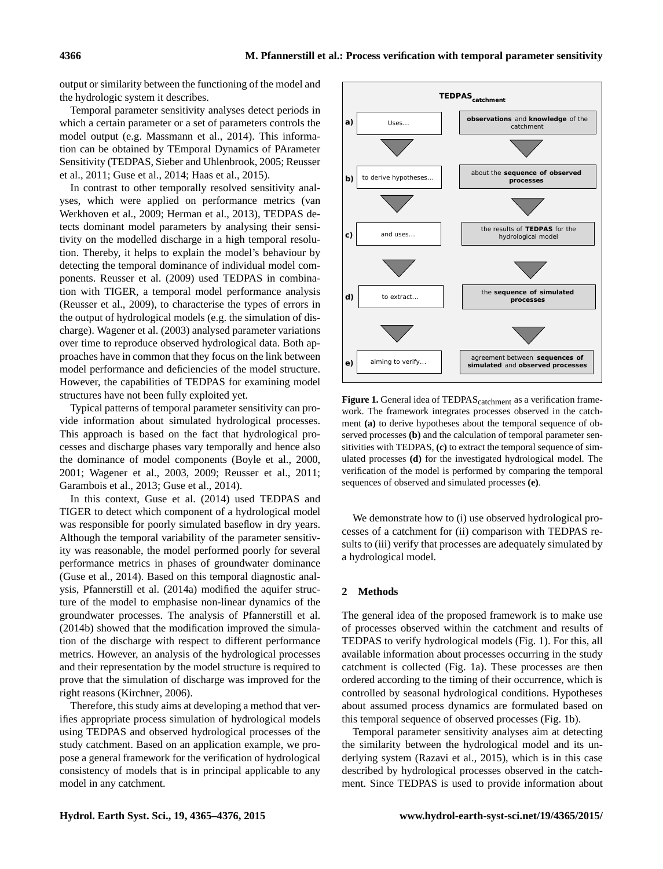output or similarity between the functioning of the model and the hydrologic system it describes.

Temporal parameter sensitivity analyses detect periods in which a certain parameter or a set of parameters controls the model output (e.g. [Massmann et al.,](#page-10-8) [2014\)](#page-10-8). This information can be obtained by TEmporal Dynamics of PArameter Sensitivity (TEDPAS, [Sieber and Uhlenbrook,](#page-11-5) [2005;](#page-11-5) [Reusser](#page-11-6) [et al.,](#page-11-6) [2011;](#page-11-6) [Guse et al.,](#page-10-3) [2014;](#page-10-3) [Haas et al.,](#page-10-7) [2015\)](#page-10-7).

In contrast to other temporally resolved sensitivity analyses, which were applied on performance metrics [\(van](#page-11-7) [Werkhoven et al.,](#page-11-7) [2009;](#page-11-7) [Herman et al.,](#page-10-9) [2013\)](#page-10-9), TEDPAS detects dominant model parameters by analysing their sensitivity on the modelled discharge in a high temporal resolution. Thereby, it helps to explain the model's behaviour by detecting the temporal dominance of individual model components. [Reusser et al.](#page-11-8) [\(2009\)](#page-11-8) used TEDPAS in combination with TIGER, a temporal model performance analysis [\(Reusser et al.,](#page-11-8) [2009\)](#page-11-8), to characterise the types of errors in the output of hydrological models (e.g. the simulation of discharge). [Wagener et al.](#page-11-9) [\(2003\)](#page-11-9) analysed parameter variations over time to reproduce observed hydrological data. Both approaches have in common that they focus on the link between model performance and deficiencies of the model structure. However, the capabilities of TEDPAS for examining model structures have not been fully exploited yet.

Typical patterns of temporal parameter sensitivity can provide information about simulated hydrological processes. This approach is based on the fact that hydrological processes and discharge phases vary temporally and hence also the dominance of model components [\(Boyle et al.,](#page-9-0) [2000,](#page-9-0) [2001;](#page-9-1) [Wagener et al.,](#page-11-9) [2003,](#page-11-9) [2009;](#page-11-10) [Reusser et al.,](#page-11-6) [2011;](#page-11-6) [Garambois et al.,](#page-10-10) [2013;](#page-10-10) [Guse et al.,](#page-10-3) [2014\)](#page-10-3).

In this context, [Guse et al.](#page-10-3) [\(2014\)](#page-10-3) used TEDPAS and TIGER to detect which component of a hydrological model was responsible for poorly simulated baseflow in dry years. Although the temporal variability of the parameter sensitivity was reasonable, the model performed poorly for several performance metrics in phases of groundwater dominance [\(Guse et al.,](#page-10-3) [2014\)](#page-10-3). Based on this temporal diagnostic analysis, [Pfannerstill et al.](#page-11-11) [\(2014a\)](#page-11-11) modified the aquifer structure of the model to emphasise non-linear dynamics of the groundwater processes. The analysis of [Pfannerstill et al.](#page-11-12) [\(2014b\)](#page-11-12) showed that the modification improved the simulation of the discharge with respect to different performance metrics. However, an analysis of the hydrological processes and their representation by the model structure is required to prove that the simulation of discharge was improved for the right reasons [\(Kirchner,](#page-10-11) [2006\)](#page-10-11).

Therefore, this study aims at developing a method that verifies appropriate process simulation of hydrological models using TEDPAS and observed hydrological processes of the study catchment. Based on an application example, we propose a general framework for the verification of hydrological consistency of models that is in principal applicable to any model in any catchment.

<span id="page-1-0"></span>

Figure 1. General idea of TEDPAS<sub>catchment</sub> as a verification framework. The framework integrates processes observed in the catchment **(a)** to derive hypotheses about the temporal sequence of observed processes **(b)** and the calculation of temporal parameter sensitivities with TEDPAS, **(c)** to extract the temporal sequence of simulated processes **(d)** for the investigated hydrological model. The verification of the model is performed by comparing the temporal sequences of observed and simulated processes **(e)**.

We demonstrate how to (i) use observed hydrological processes of a catchment for (ii) comparison with TEDPAS results to (iii) verify that processes are adequately simulated by a hydrological model.

## **2 Methods**

The general idea of the proposed framework is to make use of processes observed within the catchment and results of TEDPAS to verify hydrological models (Fig. [1\)](#page-1-0). For this, all available information about processes occurring in the study catchment is collected (Fig. [1a](#page-1-0)). These processes are then ordered according to the timing of their occurrence, which is controlled by seasonal hydrological conditions. Hypotheses about assumed process dynamics are formulated based on this temporal sequence of observed processes (Fig. [1b](#page-1-0)).

Temporal parameter sensitivity analyses aim at detecting the similarity between the hydrological model and its underlying system [\(Razavi et al.,](#page-11-4) [2015\)](#page-11-4), which is in this case described by hydrological processes observed in the catchment. Since TEDPAS is used to provide information about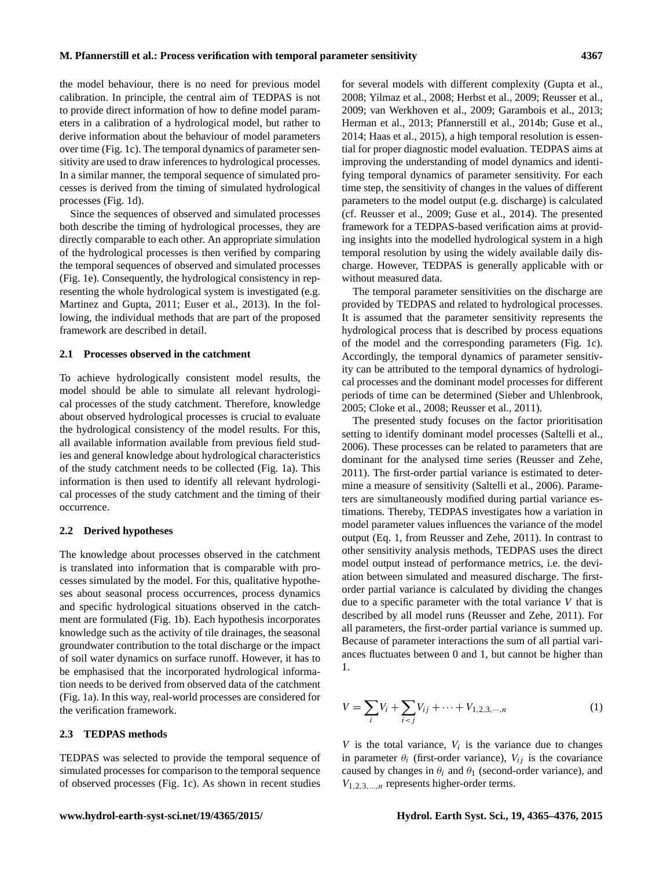the model behaviour, there is no need for previous model calibration. In principle, the central aim of TEDPAS is not to provide direct information of how to define model parameters in a calibration of a hydrological model, but rather to derive information about the behaviour of model parameters over time (Fig. [1c](#page-1-0)). The temporal dynamics of parameter sensitivity are used to draw inferences to hydrological processes. In a similar manner, the temporal sequence of simulated processes is derived from the timing of simulated hydrological processes (Fig. [1d](#page-1-0)).

Since the sequences of observed and simulated processes both describe the timing of hydrological processes, they are directly comparable to each other. An appropriate simulation of the hydrological processes is then verified by comparing the temporal sequences of observed and simulated processes (Fig. [1e](#page-1-0)). Consequently, the hydrological consistency in representing the whole hydrological system is investigated (e.g. [Martinez and Gupta,](#page-10-12) [2011;](#page-10-12) [Euser et al.,](#page-10-13) [2013\)](#page-10-13). In the following, the individual methods that are part of the proposed framework are described in detail.

## **2.1 Processes observed in the catchment**

To achieve hydrologically consistent model results, the model should be able to simulate all relevant hydrological processes of the study catchment. Therefore, knowledge about observed hydrological processes is crucial to evaluate the hydrological consistency of the model results. For this, all available information available from previous field studies and general knowledge about hydrological characteristics of the study catchment needs to be collected (Fig. [1a](#page-1-0)). This information is then used to identify all relevant hydrological processes of the study catchment and the timing of their occurrence.

## **2.2 Derived hypotheses**

The knowledge about processes observed in the catchment is translated into information that is comparable with processes simulated by the model. For this, qualitative hypotheses about seasonal process occurrences, process dynamics and specific hydrological situations observed in the catchment are formulated (Fig. [1b](#page-1-0)). Each hypothesis incorporates knowledge such as the activity of tile drainages, the seasonal groundwater contribution to the total discharge or the impact of soil water dynamics on surface runoff. However, it has to be emphasised that the incorporated hydrological information needs to be derived from observed data of the catchment (Fig. [1a](#page-1-0)). In this way, real-world processes are considered for the verification framework.

#### **2.3 TEDPAS methods**

TEDPAS was selected to provide the temporal sequence of simulated processes for comparison to the temporal sequence of observed processes (Fig. [1c](#page-1-0)). As shown in recent studies

for several models with different complexity [\(Gupta et al.,](#page-10-0) [2008;](#page-10-0) [Yilmaz et al.,](#page-11-0) [2008;](#page-11-0) [Herbst et al.,](#page-10-14) [2009;](#page-10-14) [Reusser et al.,](#page-11-8) [2009;](#page-11-8) [van Werkhoven et al.,](#page-11-7) [2009;](#page-11-7) [Garambois et al.,](#page-10-10) [2013;](#page-10-10) [Herman et al.,](#page-10-9) [2013;](#page-10-9) [Pfannerstill et al.,](#page-11-12) [2014b;](#page-11-12) [Guse et al.,](#page-10-3) [2014;](#page-10-3) [Haas et al.,](#page-10-7) [2015\)](#page-10-7), a high temporal resolution is essential for proper diagnostic model evaluation. TEDPAS aims at improving the understanding of model dynamics and identifying temporal dynamics of parameter sensitivity. For each time step, the sensitivity of changes in the values of different parameters to the model output (e.g. discharge) is calculated (cf. [Reusser et al.,](#page-11-8) [2009;](#page-11-8) [Guse et al.,](#page-10-3) [2014\)](#page-10-3). The presented framework for a TEDPAS-based verification aims at providing insights into the modelled hydrological system in a high temporal resolution by using the widely available daily discharge. However, TEDPAS is generally applicable with or without measured data.

The temporal parameter sensitivities on the discharge are provided by TEDPAS and related to hydrological processes. It is assumed that the parameter sensitivity represents the hydrological process that is described by process equations of the model and the corresponding parameters (Fig. [1c](#page-1-0)). Accordingly, the temporal dynamics of parameter sensitivity can be attributed to the temporal dynamics of hydrological processes and the dominant model processes for different periods of time can be determined [\(Sieber and Uhlenbrook,](#page-11-5) [2005;](#page-11-5) [Cloke et al.,](#page-10-15) [2008;](#page-10-15) [Reusser et al.,](#page-11-6) [2011\)](#page-11-6).

The presented study focuses on the factor prioritisation setting to identify dominant model processes [\(Saltelli et al.,](#page-11-13) [2006\)](#page-11-13). These processes can be related to parameters that are dominant for the analysed time series [\(Reusser and Zehe,](#page-11-1) [2011\)](#page-11-1). The first-order partial variance is estimated to determine a measure of sensitivity [\(Saltelli et al.,](#page-11-13) [2006\)](#page-11-13). Parameters are simultaneously modified during partial variance estimations. Thereby, TEDPAS investigates how a variation in model parameter values influences the variance of the model output (Eq. [1,](#page-2-0) from [Reusser and Zehe,](#page-11-1) [2011\)](#page-11-1). In contrast to other sensitivity analysis methods, TEDPAS uses the direct model output instead of performance metrics, i.e. the deviation between simulated and measured discharge. The firstorder partial variance is calculated by dividing the changes due to a specific parameter with the total variance  $V$  that is described by all model runs [\(Reusser and Zehe,](#page-11-1) [2011\)](#page-11-1). For all parameters, the first-order partial variance is summed up. Because of parameter interactions the sum of all partial variances fluctuates between 0 and 1, but cannot be higher than 1.

<span id="page-2-0"></span>
$$
V = \sum_{i} V_i + \sum_{i < j} V_{ij} + \dots + V_{1,2,3,\dots,n} \tag{1}
$$

 $V$  is the total variance,  $V_i$  is the variance due to changes in parameter  $\theta_i$  (first-order variance),  $V_{ij}$  is the covariance caused by changes in  $\theta_i$  and  $\theta_1$  (second-order variance), and  $V_{1,2,3,...,n}$  represents higher-order terms.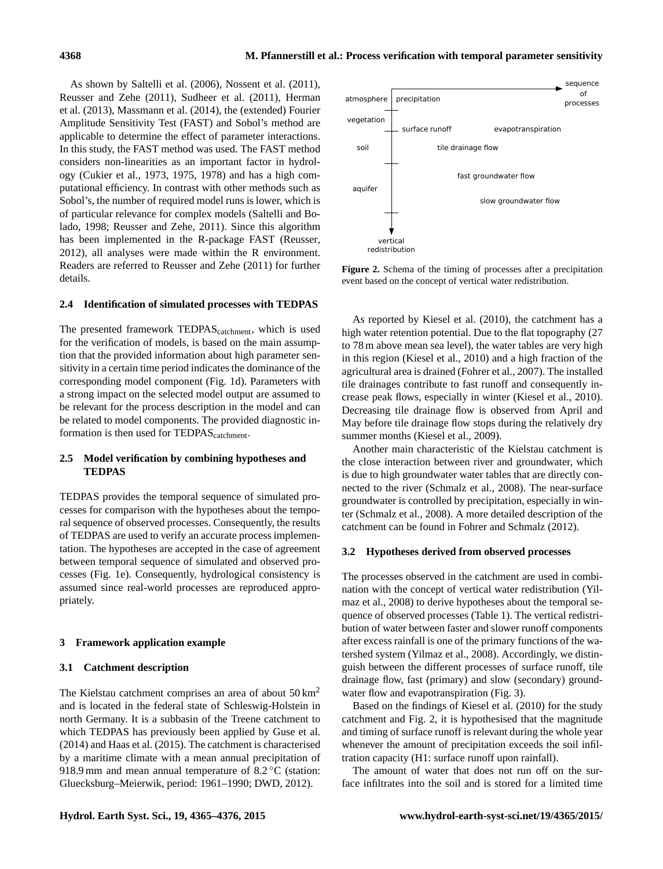As shown by [Saltelli et al.](#page-11-13) [\(2006\)](#page-11-13), [Nossent et al.](#page-10-6) [\(2011\)](#page-10-6), [Reusser and Zehe](#page-11-1) [\(2011\)](#page-11-1), [Sudheer et al.](#page-11-14) [\(2011\)](#page-11-14), [Herman](#page-10-9) [et al.](#page-10-9) [\(2013\)](#page-10-9), [Massmann et al.](#page-10-8) [\(2014\)](#page-10-8), the (extended) Fourier Amplitude Sensitivity Test (FAST) and Sobol's method are applicable to determine the effect of parameter interactions. In this study, the FAST method was used. The FAST method considers non-linearities as an important factor in hydrology [\(Cukier et al.,](#page-10-16) [1973,](#page-10-16) [1975,](#page-10-17) [1978\)](#page-10-18) and has a high computational efficiency. In contrast with other methods such as Sobol's, the number of required model runs is lower, which is of particular relevance for complex models [\(Saltelli and Bo](#page-11-15)[lado,](#page-11-15) [1998;](#page-11-15) [Reusser and Zehe,](#page-11-1) [2011\)](#page-11-1). Since this algorithm has been implemented in the R-package FAST [\(Reusser,](#page-11-16) [2012\)](#page-11-16), all analyses were made within the R environment. Readers are referred to [Reusser and Zehe](#page-11-1) [\(2011\)](#page-11-1) for further details.

## **2.4 Identification of simulated processes with TEDPAS**

The presented framework TEDPAS<sub>catchment</sub>, which is used for the verification of models, is based on the main assumption that the provided information about high parameter sensitivity in a certain time period indicates the dominance of the corresponding model component (Fig. [1d](#page-1-0)). Parameters with a strong impact on the selected model output are assumed to be relevant for the process description in the model and can be related to model components. The provided diagnostic information is then used for TEDPAS<sub>catchment</sub>.

# **2.5 Model verification by combining hypotheses and TEDPAS**

TEDPAS provides the temporal sequence of simulated processes for comparison with the hypotheses about the temporal sequence of observed processes. Consequently, the results of TEDPAS are used to verify an accurate process implementation. The hypotheses are accepted in the case of agreement between temporal sequence of simulated and observed processes (Fig. [1e](#page-1-0)). Consequently, hydrological consistency is assumed since real-world processes are reproduced appropriately.

## **3 Framework application example**

### **3.1 Catchment description**

The Kielstau catchment comprises an area of about  $50 \text{ km}^2$ and is located in the federal state of Schleswig-Holstein in north Germany. It is a subbasin of the Treene catchment to which TEDPAS has previously been applied by [Guse et al.](#page-10-3) [\(2014\)](#page-10-3) and [Haas et al.](#page-10-7) [\(2015\)](#page-10-7). The catchment is characterised by a maritime climate with a mean annual precipitation of 918.9 mm and mean annual temperature of 8.2 °C (station: Gluecksburg–Meierwik, period: 1961–1990; [DWD,](#page-10-19) [2012\)](#page-10-19).

<span id="page-3-0"></span>

**Figure 2.** Schema of the timing of processes after a precipitation event based on the concept of vertical water redistribution.

As reported by [Kiesel et al.](#page-10-20) [\(2010\)](#page-10-20), the catchment has a high water retention potential. Due to the flat topography (27) to 78 m above mean sea level), the water tables are very high in this region [\(Kiesel et al.,](#page-10-20) [2010\)](#page-10-20) and a high fraction of the agricultural area is drained [\(Fohrer et al.,](#page-10-21) [2007\)](#page-10-21). The installed tile drainages contribute to fast runoff and consequently increase peak flows, especially in winter [\(Kiesel et al.,](#page-10-20) [2010\)](#page-10-20). Decreasing tile drainage flow is observed from April and May before tile drainage flow stops during the relatively dry summer months [\(Kiesel et al.,](#page-10-22) [2009\)](#page-10-22).

Another main characteristic of the Kielstau catchment is the close interaction between river and groundwater, which is due to high groundwater water tables that are directly connected to the river [\(Schmalz et al.,](#page-11-17) [2008\)](#page-11-17). The near-surface groundwater is controlled by precipitation, especially in winter [\(Schmalz et al.,](#page-11-17) [2008\)](#page-11-17). A more detailed description of the catchment can be found in [Fohrer and Schmalz](#page-10-23) [\(2012\)](#page-10-23).

#### **3.2 Hypotheses derived from observed processes**

The processes observed in the catchment are used in combination with the concept of vertical water redistribution [\(Yil](#page-11-0)[maz et al.,](#page-11-0) [2008\)](#page-11-0) to derive hypotheses about the temporal sequence of observed processes (Table [1\)](#page-4-0). The vertical redistribution of water between faster and slower runoff components after excess rainfall is one of the primary functions of the watershed system [\(Yilmaz et al.,](#page-11-0) [2008\)](#page-11-0). Accordingly, we distinguish between the different processes of surface runoff, tile drainage flow, fast (primary) and slow (secondary) ground-water flow and evapotranspiration (Fig. [3\)](#page-4-1).

Based on the findings of [Kiesel et al.](#page-10-20) [\(2010\)](#page-10-20) for the study catchment and Fig. [2,](#page-3-0) it is hypothesised that the magnitude and timing of surface runoff is relevant during the whole year whenever the amount of precipitation exceeds the soil infiltration capacity (H1: surface runoff upon rainfall).

The amount of water that does not run off on the surface infiltrates into the soil and is stored for a limited time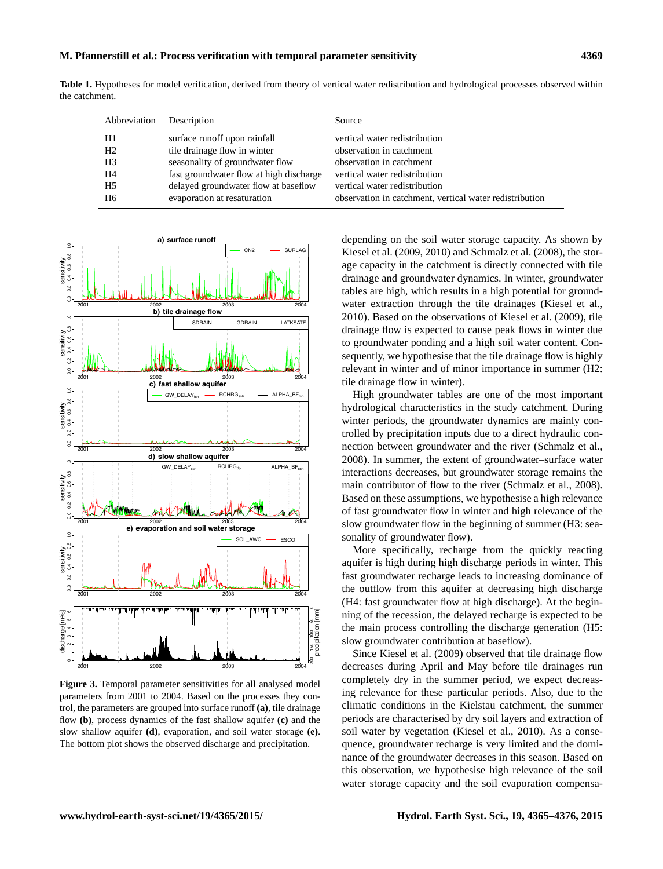<span id="page-4-0"></span>**Table 1.** Hypotheses for model verification, derived from theory of vertical water redistribution and hydrological processes observed within the catchment.

| Abbreviation   | Description                             | Source                                                  |
|----------------|-----------------------------------------|---------------------------------------------------------|
| H1             | surface runoff upon rainfall            | vertical water redistribution                           |
| H <sub>2</sub> | tile drainage flow in winter            | observation in catchment                                |
| H3             | seasonality of groundwater flow         | observation in catchment                                |
| H4             | fast groundwater flow at high discharge | vertical water redistribution                           |
| H5             | delayed groundwater flow at baseflow    | vertical water redistribution                           |
| H6             | evaporation at resaturation             | observation in catchment, vertical water redistribution |

<span id="page-4-1"></span>

**Figure 3.** Temporal parameter sensitivities for all analysed model parameters from 2001 to 2004. Based on the processes they control, the parameters are grouped into surface runoff **(a)**, tile drainage flow **(b)**, process dynamics of the fast shallow aquifer **(c)** and the slow shallow aquifer **(d)**, evaporation, and soil water storage **(e)**. The bottom plot shows the observed discharge and precipitation.

depending on the soil water storage capacity. As shown by [Kiesel et al.](#page-10-22) [\(2009,](#page-10-22) [2010\)](#page-10-20) and [Schmalz et al.](#page-11-17) [\(2008\)](#page-11-17), the storage capacity in the catchment is directly connected with tile drainage and groundwater dynamics. In winter, groundwater tables are high, which results in a high potential for groundwater extraction through the tile drainages [\(Kiesel et al.,](#page-10-20) [2010\)](#page-10-20). Based on the observations of [Kiesel et al.](#page-10-22) [\(2009\)](#page-10-22), tile drainage flow is expected to cause peak flows in winter due to groundwater ponding and a high soil water content. Consequently, we hypothesise that the tile drainage flow is highly relevant in winter and of minor importance in summer (H2: tile drainage flow in winter).

High groundwater tables are one of the most important hydrological characteristics in the study catchment. During winter periods, the groundwater dynamics are mainly controlled by precipitation inputs due to a direct hydraulic connection between groundwater and the river [\(Schmalz et al.,](#page-11-17) [2008\)](#page-11-17). In summer, the extent of groundwater–surface water interactions decreases, but groundwater storage remains the main contributor of flow to the river [\(Schmalz et al.,](#page-11-17) [2008\)](#page-11-17). Based on these assumptions, we hypothesise a high relevance of fast groundwater flow in winter and high relevance of the slow groundwater flow in the beginning of summer (H3: seasonality of groundwater flow).

More specifically, recharge from the quickly reacting aquifer is high during high discharge periods in winter. This fast groundwater recharge leads to increasing dominance of the outflow from this aquifer at decreasing high discharge (H4: fast groundwater flow at high discharge). At the beginning of the recession, the delayed recharge is expected to be the main process controlling the discharge generation (H5: slow groundwater contribution at baseflow).

Since [Kiesel et al.](#page-10-22) [\(2009\)](#page-10-22) observed that tile drainage flow decreases during April and May before tile drainages run completely dry in the summer period, we expect decreasing relevance for these particular periods. Also, due to the climatic conditions in the Kielstau catchment, the summer periods are characterised by dry soil layers and extraction of soil water by vegetation [\(Kiesel et al.,](#page-10-20) [2010\)](#page-10-20). As a consequence, groundwater recharge is very limited and the dominance of the groundwater decreases in this season. Based on this observation, we hypothesise high relevance of the soil water storage capacity and the soil evaporation compensa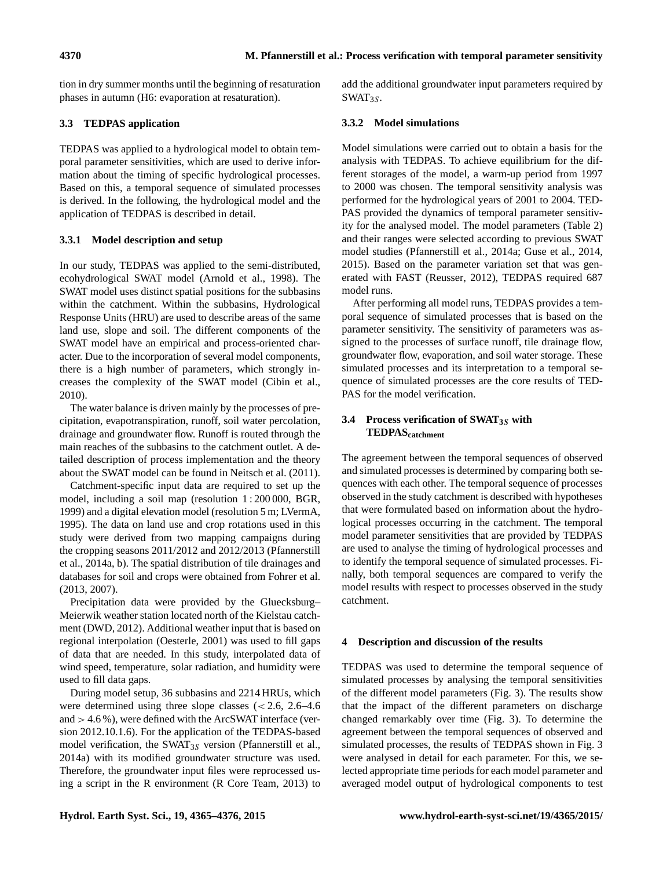tion in dry summer months until the beginning of resaturation phases in autumn (H6: evaporation at resaturation).

# **3.3 TEDPAS application**

TEDPAS was applied to a hydrological model to obtain temporal parameter sensitivities, which are used to derive information about the timing of specific hydrological processes. Based on this, a temporal sequence of simulated processes is derived. In the following, the hydrological model and the application of TEDPAS is described in detail.

# **3.3.1 Model description and setup**

In our study, TEDPAS was applied to the semi-distributed, ecohydrological SWAT model [\(Arnold et al.,](#page-9-2) [1998\)](#page-9-2). The SWAT model uses distinct spatial positions for the subbasins within the catchment. Within the subbasins, Hydrological Response Units (HRU) are used to describe areas of the same land use, slope and soil. The different components of the SWAT model have an empirical and process-oriented character. Due to the incorporation of several model components, there is a high number of parameters, which strongly increases the complexity of the SWAT model [\(Cibin et al.,](#page-9-3) [2010\)](#page-9-3).

The water balance is driven mainly by the processes of precipitation, evapotranspiration, runoff, soil water percolation, drainage and groundwater flow. Runoff is routed through the main reaches of the subbasins to the catchment outlet. A detailed description of process implementation and the theory about the SWAT model can be found in [Neitsch et al.](#page-10-24) [\(2011\)](#page-10-24).

Catchment-specific input data are required to set up the model, including a soil map (resolution 1 : 200 000, [BGR,](#page-9-4) [1999\)](#page-9-4) and a digital elevation model (resolution 5 m; [LVermA,](#page-10-25) [1995\)](#page-10-25). The data on land use and crop rotations used in this study were derived from two mapping campaigns during the cropping seasons 2011/2012 and 2012/2013 [\(Pfannerstill](#page-11-11) [et al.,](#page-11-11) [2014a,](#page-11-11) [b\)](#page-11-12). The spatial distribution of tile drainages and databases for soil and crops were obtained from [Fohrer et al.](#page-10-26) [\(2013,](#page-10-26) [2007\)](#page-10-21).

Precipitation data were provided by the Gluecksburg– Meierwik weather station located north of the Kielstau catchment [\(DWD,](#page-10-19) [2012\)](#page-10-19). Additional weather input that is based on regional interpolation [\(Oesterle,](#page-10-27) [2001\)](#page-10-27) was used to fill gaps of data that are needed. In this study, interpolated data of wind speed, temperature, solar radiation, and humidity were used to fill data gaps.

During model setup, 36 subbasins and 2214 HRUs, which were determined using three slope classes  $\approx 2.6$ , 2.6–4.6 and  $> 4.6\%$ ), were defined with the ArcSWAT interface (version 2012.10.1.6). For the application of the TEDPAS-based model verification, the SWAT $_{3S}$  version [\(Pfannerstill et al.,](#page-11-11) [2014a\)](#page-11-11) with its modified groundwater structure was used. Therefore, the groundwater input files were reprocessed using a script in the R environment [\(R Core Team,](#page-11-18) [2013\)](#page-11-18) to add the additional groundwater input parameters required by  $SWAT_{3S}$ .

# **3.3.2 Model simulations**

Model simulations were carried out to obtain a basis for the analysis with TEDPAS. To achieve equilibrium for the different storages of the model, a warm-up period from 1997 to 2000 was chosen. The temporal sensitivity analysis was performed for the hydrological years of 2001 to 2004. TED-PAS provided the dynamics of temporal parameter sensitivity for the analysed model. The model parameters (Table [2\)](#page-6-0) and their ranges were selected according to previous SWAT model studies [\(Pfannerstill et al.,](#page-11-11) [2014a;](#page-11-11) [Guse et al.,](#page-10-3) [2014,](#page-10-3) [2015\)](#page-10-28). Based on the parameter variation set that was generated with FAST [\(Reusser,](#page-11-16) [2012\)](#page-11-16), TEDPAS required 687 model runs.

After performing all model runs, TEDPAS provides a temporal sequence of simulated processes that is based on the parameter sensitivity. The sensitivity of parameters was assigned to the processes of surface runoff, tile drainage flow, groundwater flow, evaporation, and soil water storage. These simulated processes and its interpretation to a temporal sequence of simulated processes are the core results of TED-PAS for the model verification.

# **3.4 Process verification of SWAT3**<sup>S</sup> **with TEDPAScatchment**

The agreement between the temporal sequences of observed and simulated processes is determined by comparing both sequences with each other. The temporal sequence of processes observed in the study catchment is described with hypotheses that were formulated based on information about the hydrological processes occurring in the catchment. The temporal model parameter sensitivities that are provided by TEDPAS are used to analyse the timing of hydrological processes and to identify the temporal sequence of simulated processes. Finally, both temporal sequences are compared to verify the model results with respect to processes observed in the study catchment.

# **4 Description and discussion of the results**

TEDPAS was used to determine the temporal sequence of simulated processes by analysing the temporal sensitivities of the different model parameters (Fig. [3\)](#page-4-1). The results show that the impact of the different parameters on discharge changed remarkably over time (Fig. [3\)](#page-4-1). To determine the agreement between the temporal sequences of observed and simulated processes, the results of TEDPAS shown in Fig. [3](#page-4-1) were analysed in detail for each parameter. For this, we selected appropriate time periods for each model parameter and averaged model output of hydrological components to test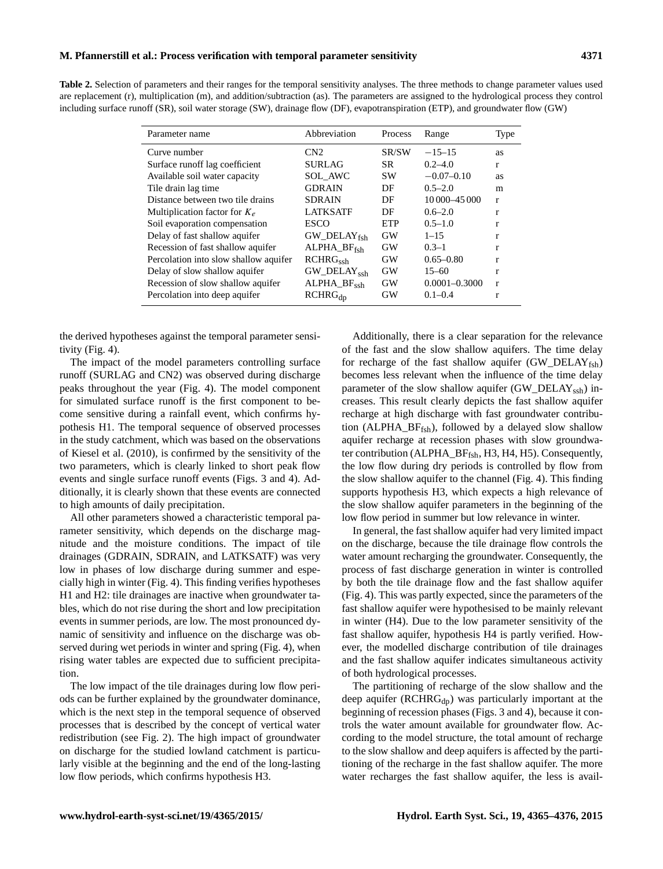#### **M. Pfannerstill et al.: Process verification with temporal parameter sensitivity 4371**

<span id="page-6-0"></span>**Table 2.** Selection of parameters and their ranges for the temporal sensitivity analyses. The three methods to change parameter values used are replacement (r), multiplication (m), and addition/subtraction (as). The parameters are assigned to the hydrological process they control including surface runoff (SR), soil water storage (SW), drainage flow (DF), evapotranspiration (ETP), and groundwater flow (GW)

| Parameter name                        | Abbreviation                        | Process   | Range             | Type         |
|---------------------------------------|-------------------------------------|-----------|-------------------|--------------|
| Curve number                          | CN2                                 | SR/SW     | $-15-15$          | as           |
| Surface runoff lag coefficient        | <b>SURLAG</b>                       | <b>SR</b> | $0.2 - 4.0$       | $\mathbf{r}$ |
| Available soil water capacity         | SOL AWC                             | <b>SW</b> | $-0.07-0.10$      | as           |
| Tile drain lag time                   | <b>GDRAIN</b>                       | DF        | $0.5 - 2.0$       | m            |
| Distance between two tile drains      | <b>SDRAIN</b>                       | DF        | 10 000 - 45 000   | $\mathbf{r}$ |
| Multiplication factor for $K_e$       | <b>LATKSATF</b>                     | DF        | $0.6 - 2.0$       | r            |
| Soil evaporation compensation         | ESCO                                | ETP       | $0.5 - 1.0$       | r            |
| Delay of fast shallow aquifer         | $GW$ DELAY <sub>fsh</sub>           | GW        | $1 - 15$          | r            |
| Recession of fast shallow aquifer     | $ALPHA_BF_{fsh}$                    | GW        | $0.3 - 1$         | r            |
| Percolation into slow shallow aquifer | RCHRG <sub>sch</sub>                | GW        | $0.65 - 0.80$     | r            |
| Delay of slow shallow aquifer         | $GW$ <sub>DELAY<sub>ssh</sub></sub> | GW        | $15 - 60$         | r            |
| Recession of slow shallow aquifer     | $ALPHA_BF_{\text{sch}}$             | GW        | $0.0001 - 0.3000$ | $\mathbf{r}$ |
| Percolation into deep aquifer         | $RCHRG_{dp}$                        | GW        | $0.1 - 0.4$       | r            |
|                                       |                                     |           |                   |              |

the derived hypotheses against the temporal parameter sensitivity (Fig. [4\)](#page-7-0).

The impact of the model parameters controlling surface runoff (SURLAG and CN2) was observed during discharge peaks throughout the year (Fig. [4\)](#page-7-0). The model component for simulated surface runoff is the first component to become sensitive during a rainfall event, which confirms hypothesis H1. The temporal sequence of observed processes in the study catchment, which was based on the observations of [Kiesel et al.](#page-10-20) [\(2010\)](#page-10-20), is confirmed by the sensitivity of the two parameters, which is clearly linked to short peak flow events and single surface runoff events (Figs. [3](#page-4-1) and [4\)](#page-7-0). Additionally, it is clearly shown that these events are connected to high amounts of daily precipitation.

All other parameters showed a characteristic temporal parameter sensitivity, which depends on the discharge magnitude and the moisture conditions. The impact of tile drainages (GDRAIN, SDRAIN, and LATKSATF) was very low in phases of low discharge during summer and especially high in winter (Fig. [4\)](#page-7-0). This finding verifies hypotheses H1 and H2: tile drainages are inactive when groundwater tables, which do not rise during the short and low precipitation events in summer periods, are low. The most pronounced dynamic of sensitivity and influence on the discharge was observed during wet periods in winter and spring (Fig. [4\)](#page-7-0), when rising water tables are expected due to sufficient precipitation.

The low impact of the tile drainages during low flow periods can be further explained by the groundwater dominance, which is the next step in the temporal sequence of observed processes that is described by the concept of vertical water redistribution (see Fig. [2\)](#page-3-0). The high impact of groundwater on discharge for the studied lowland catchment is particularly visible at the beginning and the end of the long-lasting low flow periods, which confirms hypothesis H3.

Additionally, there is a clear separation for the relevance of the fast and the slow shallow aquifers. The time delay for recharge of the fast shallow aquifer  $(GW_DELAY_{fsh})$ becomes less relevant when the influence of the time delay parameter of the slow shallow aquifer (GW\_DELAY<sub>ssh</sub>) increases. This result clearly depicts the fast shallow aquifer recharge at high discharge with fast groundwater contribution (ALPHA\_BFfsh), followed by a delayed slow shallow aquifer recharge at recession phases with slow groundwater contribution (ALPHA\_BF<sub>fsh</sub>, H3, H4, H5). Consequently, the low flow during dry periods is controlled by flow from the slow shallow aquifer to the channel (Fig. [4\)](#page-7-0). This finding supports hypothesis H3, which expects a high relevance of the slow shallow aquifer parameters in the beginning of the low flow period in summer but low relevance in winter.

In general, the fast shallow aquifer had very limited impact on the discharge, because the tile drainage flow controls the water amount recharging the groundwater. Consequently, the process of fast discharge generation in winter is controlled by both the tile drainage flow and the fast shallow aquifer (Fig. [4\)](#page-7-0). This was partly expected, since the parameters of the fast shallow aquifer were hypothesised to be mainly relevant in winter (H4). Due to the low parameter sensitivity of the fast shallow aquifer, hypothesis H4 is partly verified. However, the modelled discharge contribution of tile drainages and the fast shallow aquifer indicates simultaneous activity of both hydrological processes.

The partitioning of recharge of the slow shallow and the deep aquifer  $(RCHRG<sub>dp</sub>)$  was particularly important at the beginning of recession phases (Figs. [3](#page-4-1) and [4\)](#page-7-0), because it controls the water amount available for groundwater flow. According to the model structure, the total amount of recharge to the slow shallow and deep aquifers is affected by the partitioning of the recharge in the fast shallow aquifer. The more water recharges the fast shallow aquifer, the less is avail-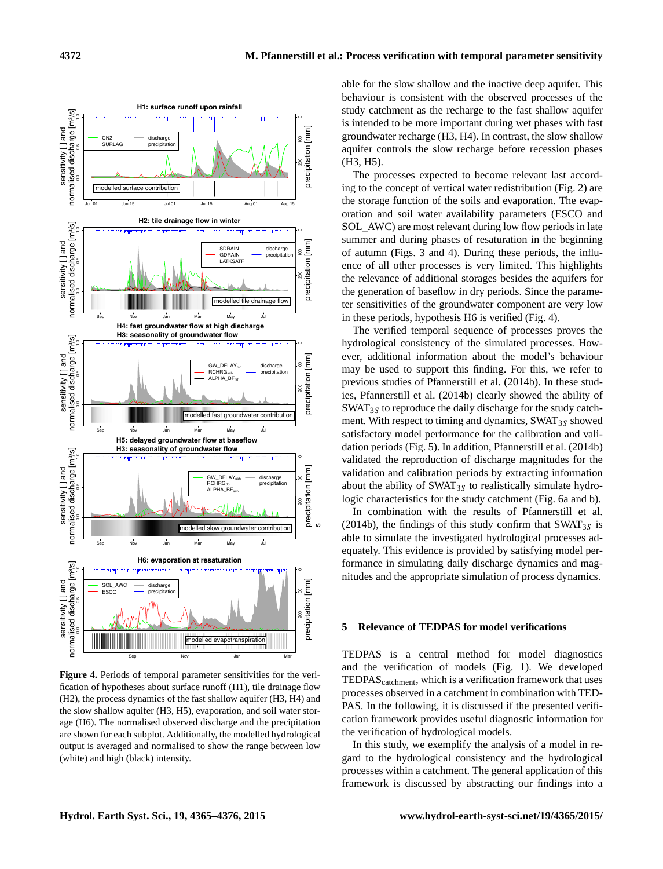<span id="page-7-0"></span>

Figure 4. Periods of temporal parameter sensitivities for the verification of hypotheses about surface runoff (H1), tile drainage flow (H2), the process dynamics of the fast shallow aquifer (H3, H4) and the slow shallow aquifer (H3, H5), evaporation, and soil water storage (H6). The normalised observed discharge and the precipitation are shown for each subplot. Additionally, the modelled hydrological output is averaged and normalised to show the range between low (white) and high (black) intensity.

able for the slow shallow and the inactive deep aquifer. This behaviour is consistent with the observed processes of the study catchment as the recharge to the fast shallow aquifer is intended to be more important during wet phases with fast groundwater recharge (H3, H4). In contrast, the slow shallow aquifer controls the slow recharge before recession phases (H3, H5).

The processes expected to become relevant last according to the concept of vertical water redistribution (Fig. [2\)](#page-3-0) are the storage function of the soils and evaporation. The evaporation and soil water availability parameters (ESCO and SOL AWC) are most relevant during low flow periods in late summer and during phases of resaturation in the beginning of autumn (Figs. [3](#page-4-1) and [4\)](#page-7-0). During these periods, the influence of all other processes is very limited. This highlights the relevance of additional storages besides the aquifers for the generation of baseflow in dry periods. Since the parameter sensitivities of the groundwater component are very low in these periods, hypothesis H6 is verified (Fig. [4\)](#page-7-0).

The verified temporal sequence of processes proves the hydrological consistency of the simulated processes. However, additional information about the model's behaviour may be used to support this finding. For this, we refer to previous studies of [Pfannerstill et al.](#page-11-12) [\(2014b\)](#page-11-12). In these studies, [Pfannerstill et al.](#page-11-12) [\(2014b\)](#page-11-12) clearly showed the ability of  $SWAT_{3S}$  to reproduce the daily discharge for the study catchment. With respect to timing and dynamics,  $\text{SWAT}_{3S}$  showed satisfactory model performance for the calibration and validation periods (Fig. [5\)](#page-8-0). In addition, [Pfannerstill et al.](#page-11-12) [\(2014b\)](#page-11-12) validated the reproduction of discharge magnitudes for the validation and calibration periods by extracting information about the ability of  $\text{SWAT}_{3S}$  to realistically simulate hydrologic characteristics for the study catchment (Fig. [6a](#page-8-1) and b).

In combination with the results of [Pfannerstill et al.](#page-11-12) [\(2014b\)](#page-11-12), the findings of this study confirm that  $\text{SWAT}_{3S}$  is able to simulate the investigated hydrological processes adequately. This evidence is provided by satisfying model performance in simulating daily discharge dynamics and magnitudes and the appropriate simulation of process dynamics.

### **5 Relevance of TEDPAS for model verifications**

TEDPAS is a central method for model diagnostics and the verification of models (Fig. [1\)](#page-1-0). We developed TEDPAS<sub>catchment</sub>, which is a verification framework that uses processes observed in a catchment in combination with TED-PAS. In the following, it is discussed if the presented verification framework provides useful diagnostic information for the verification of hydrological models.

In this study, we exemplify the analysis of a model in regard to the hydrological consistency and the hydrological processes within a catchment. The general application of this framework is discussed by abstracting our findings into a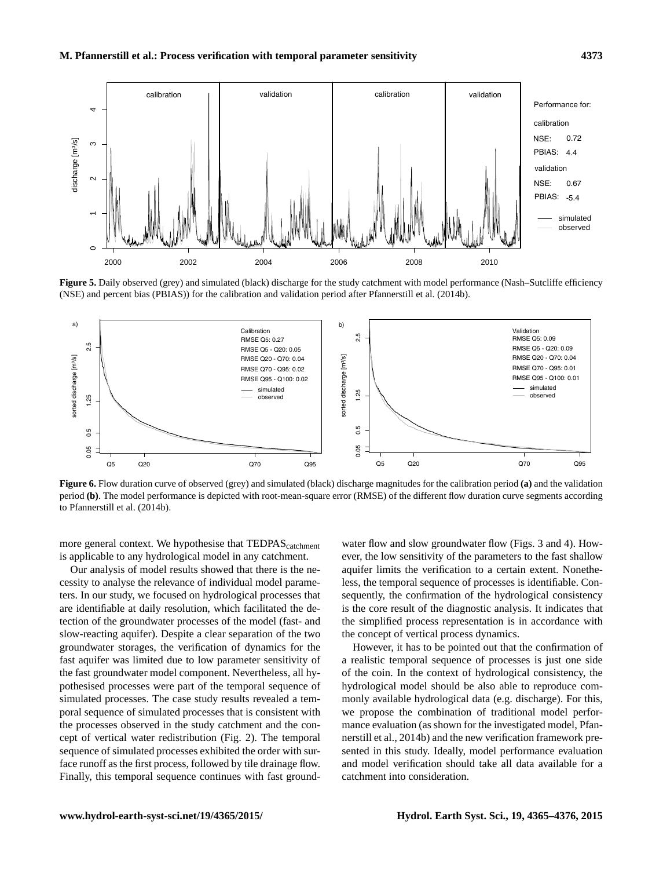<span id="page-8-0"></span>

**Figure 5.** Daily observed (grey) and simulated (black) discharge for the study catchment with model performance (Nash–Sutcliffe efficiency (NSE) and percent bias (PBIAS)) for the calibration and validation period after [Pfannerstill et al.](#page-11-12) [\(2014b\)](#page-11-12).

<span id="page-8-1"></span>

**Figure 6.** Flow duration curve of observed (grey) and simulated (black) discharge magnitudes for the calibration period **(a)** and the validation period **(b)**. The model performance is depicted with root-mean-square error (RMSE) of the different flow duration curve segments according to [Pfannerstill et al.](#page-11-12) [\(2014b\)](#page-11-12).

more general context. We hypothesise that TEDPAS<sub>catchment</sub> is applicable to any hydrological model in any catchment.

Our analysis of model results showed that there is the necessity to analyse the relevance of individual model parameters. In our study, we focused on hydrological processes that are identifiable at daily resolution, which facilitated the detection of the groundwater processes of the model (fast- and slow-reacting aquifer). Despite a clear separation of the two groundwater storages, the verification of dynamics for the fast aquifer was limited due to low parameter sensitivity of the fast groundwater model component. Nevertheless, all hypothesised processes were part of the temporal sequence of simulated processes. The case study results revealed a temporal sequence of simulated processes that is consistent with the processes observed in the study catchment and the concept of vertical water redistribution (Fig. [2\)](#page-3-0). The temporal sequence of simulated processes exhibited the order with surface runoff as the first process, followed by tile drainage flow. Finally, this temporal sequence continues with fast ground-

water flow and slow groundwater flow (Figs. [3](#page-4-1) and [4\)](#page-7-0). However, the low sensitivity of the parameters to the fast shallow aquifer limits the verification to a certain extent. Nonetheless, the temporal sequence of processes is identifiable. Consequently, the confirmation of the hydrological consistency is the core result of the diagnostic analysis. It indicates that the simplified process representation is in accordance with the concept of vertical process dynamics.

However, it has to be pointed out that the confirmation of a realistic temporal sequence of processes is just one side of the coin. In the context of hydrological consistency, the hydrological model should be also able to reproduce commonly available hydrological data (e.g. discharge). For this, we propose the combination of traditional model performance evaluation (as shown for the investigated model, [Pfan](#page-11-12)[nerstill et al.,](#page-11-12) [2014b\)](#page-11-12) and the new verification framework presented in this study. Ideally, model performance evaluation and model verification should take all data available for a catchment into consideration.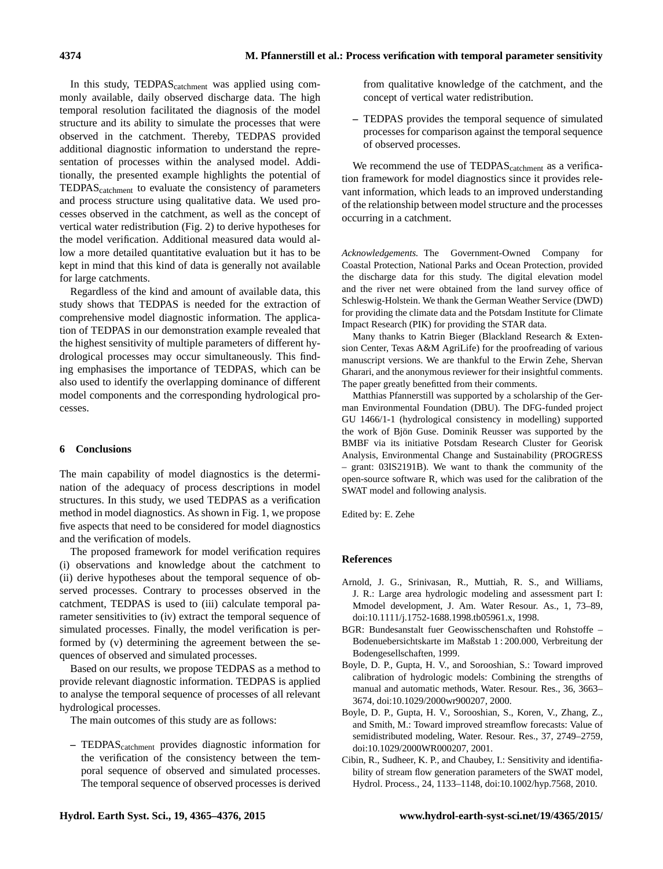In this study, TEDPAS<sub>catchment</sub> was applied using commonly available, daily observed discharge data. The high temporal resolution facilitated the diagnosis of the model structure and its ability to simulate the processes that were observed in the catchment. Thereby, TEDPAS provided additional diagnostic information to understand the representation of processes within the analysed model. Additionally, the presented example highlights the potential of TEDPAScatchment to evaluate the consistency of parameters and process structure using qualitative data. We used processes observed in the catchment, as well as the concept of vertical water redistribution (Fig. [2\)](#page-3-0) to derive hypotheses for the model verification. Additional measured data would allow a more detailed quantitative evaluation but it has to be kept in mind that this kind of data is generally not available for large catchments.

Regardless of the kind and amount of available data, this study shows that TEDPAS is needed for the extraction of comprehensive model diagnostic information. The application of TEDPAS in our demonstration example revealed that the highest sensitivity of multiple parameters of different hydrological processes may occur simultaneously. This finding emphasises the importance of TEDPAS, which can be also used to identify the overlapping dominance of different model components and the corresponding hydrological processes.

# **6 Conclusions**

The main capability of model diagnostics is the determination of the adequacy of process descriptions in model structures. In this study, we used TEDPAS as a verification method in model diagnostics. As shown in Fig. [1,](#page-1-0) we propose five aspects that need to be considered for model diagnostics and the verification of models.

The proposed framework for model verification requires (i) observations and knowledge about the catchment to (ii) derive hypotheses about the temporal sequence of observed processes. Contrary to processes observed in the catchment, TEDPAS is used to (iii) calculate temporal parameter sensitivities to (iv) extract the temporal sequence of simulated processes. Finally, the model verification is performed by (v) determining the agreement between the sequences of observed and simulated processes.

Based on our results, we propose TEDPAS as a method to provide relevant diagnostic information. TEDPAS is applied to analyse the temporal sequence of processes of all relevant hydrological processes.

The main outcomes of this study are as follows:

**–** TEDPAScatchment provides diagnostic information for the verification of the consistency between the temporal sequence of observed and simulated processes. The temporal sequence of observed processes is derived

from qualitative knowledge of the catchment, and the concept of vertical water redistribution.

**–** TEDPAS provides the temporal sequence of simulated processes for comparison against the temporal sequence of observed processes.

We recommend the use of TEDPAS<sub>catchment</sub> as a verification framework for model diagnostics since it provides relevant information, which leads to an improved understanding of the relationship between model structure and the processes occurring in a catchment.

*Acknowledgements.* The Government-Owned Company for Coastal Protection, National Parks and Ocean Protection, provided the discharge data for this study. The digital elevation model and the river net were obtained from the land survey office of Schleswig-Holstein. We thank the German Weather Service (DWD) for providing the climate data and the Potsdam Institute for Climate Impact Research (PIK) for providing the STAR data.

Many thanks to Katrin Bieger (Blackland Research & Extension Center, Texas A&M AgriLife) for the proofreading of various manuscript versions. We are thankful to the Erwin Zehe, Shervan Gharari, and the anonymous reviewer for their insightful comments. The paper greatly benefitted from their comments.

Matthias Pfannerstill was supported by a scholarship of the German Environmental Foundation (DBU). The DFG-funded project GU 1466/1-1 (hydrological consistency in modelling) supported the work of Bjön Guse. Dominik Reusser was supported by the BMBF via its initiative Potsdam Research Cluster for Georisk Analysis, Environmental Change and Sustainability (PROGRESS – grant: 03IS2191B). We want to thank the community of the open-source software R, which was used for the calibration of the SWAT model and following analysis.

Edited by: E. Zehe

# **References**

- <span id="page-9-2"></span>Arnold, J. G., Srinivasan, R., Muttiah, R. S., and Williams, J. R.: Large area hydrologic modeling and assessment part I: Mmodel development, J. Am. Water Resour. As., 1, 73–89, doi[:10.1111/j.1752-1688.1998.tb05961.x,](http://dx.doi.org/10.1111/j.1752-1688.1998.tb05961.x) 1998.
- <span id="page-9-4"></span>BGR: Bundesanstalt fuer Geowisschenschaften und Rohstoffe – Bodenuebersichtskarte im Maßstab 1 : 200.000, Verbreitung der Bodengesellschaften, 1999.
- <span id="page-9-0"></span>Boyle, D. P., Gupta, H. V., and Sorooshian, S.: Toward improved calibration of hydrologic models: Combining the strengths of manual and automatic methods, Water. Resour. Res., 36, 3663-3674, doi[:10.1029/2000wr900207,](http://dx.doi.org/10.1029/2000wr900207) 2000.
- <span id="page-9-1"></span>Boyle, D. P., Gupta, H. V., Sorooshian, S., Koren, V., Zhang, Z., and Smith, M.: Toward improved streamflow forecasts: Value of semidistributed modeling, Water. Resour. Res., 37, 2749-2759, doi[:10.1029/2000WR000207,](http://dx.doi.org/10.1029/2000WR000207) 2001.
- <span id="page-9-3"></span>Cibin, R., Sudheer, K. P., and Chaubey, I.: Sensitivity and identifiability of stream flow generation parameters of the SWAT model, Hydrol. Process., 24, 1133–1148, doi[:10.1002/hyp.7568,](http://dx.doi.org/10.1002/hyp.7568) 2010.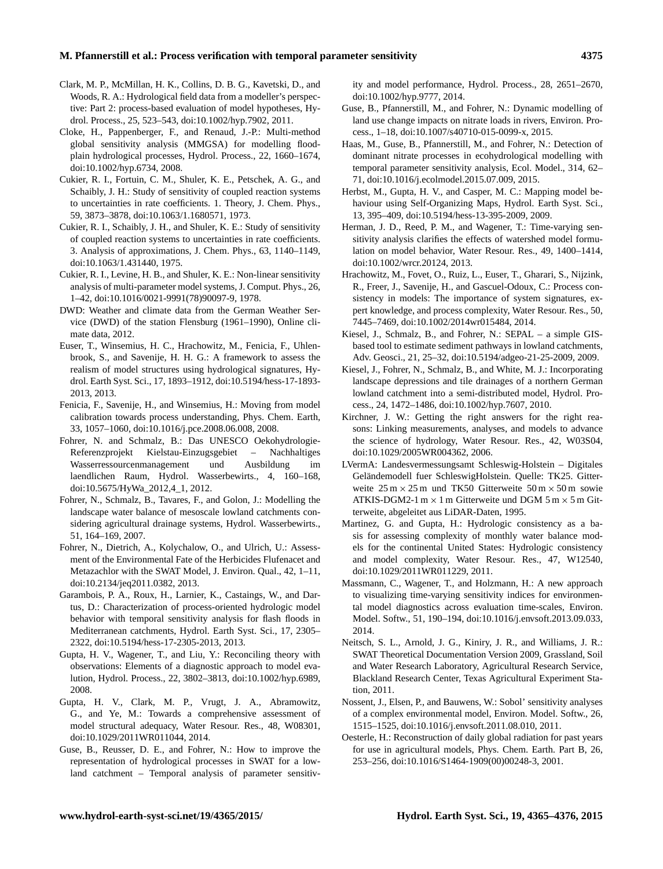#### **M. Pfannerstill et al.: Process verification with temporal parameter sensitivity 4375**

- <span id="page-10-4"></span>Clark, M. P., McMillan, H. K., Collins, D. B. G., Kavetski, D., and Woods, R. A.: Hydrological field data from a modeller's perspective: Part 2: process-based evaluation of model hypotheses, Hydrol. Process., 25, 523–543, doi[:10.1002/hyp.7902,](http://dx.doi.org/10.1002/hyp.7902) 2011.
- <span id="page-10-15"></span>Cloke, H., Pappenberger, F., and Renaud, J.-P.: Multi-method global sensitivity analysis (MMGSA) for modelling floodplain hydrological processes, Hydrol. Process., 22, 1660–1674, doi[:10.1002/hyp.6734,](http://dx.doi.org/10.1002/hyp.6734) 2008.
- <span id="page-10-16"></span>Cukier, R. I., Fortuin, C. M., Shuler, K. E., Petschek, A. G., and Schaibly, J. H.: Study of sensitivity of coupled reaction systems to uncertainties in rate coefficients. 1. Theory, J. Chem. Phys., 59, 3873–3878, doi[:10.1063/1.1680571,](http://dx.doi.org/10.1063/1.1680571) 1973.
- <span id="page-10-17"></span>Cukier, R. I., Schaibly, J. H., and Shuler, K. E.: Study of sensitivity of coupled reaction systems to uncertainties in rate coefficients. 3. Analysis of approximations, J. Chem. Phys., 63, 1140–1149, doi[:10.1063/1.431440,](http://dx.doi.org/10.1063/1.431440) 1975.
- <span id="page-10-18"></span>Cukier, R. I., Levine, H. B., and Shuler, K. E.: Non-linear sensitivity analysis of multi-parameter model systems, J. Comput. Phys., 26, 1–42, doi[:10.1016/0021-9991\(78\)90097-9,](http://dx.doi.org/10.1016/0021-9991(78)90097-9) 1978.
- <span id="page-10-19"></span>DWD: Weather and climate data from the German Weather Service (DWD) of the station Flensburg (1961–1990), Online climate data, 2012.
- <span id="page-10-13"></span>Euser, T., Winsemius, H. C., Hrachowitz, M., Fenicia, F., Uhlenbrook, S., and Savenije, H. H. G.: A framework to assess the realism of model structures using hydrological signatures, Hydrol. Earth Syst. Sci., 17, 1893–1912, doi[:10.5194/hess-17-1893-](http://dx.doi.org/10.5194/hess-17-1893-2013) [2013,](http://dx.doi.org/10.5194/hess-17-1893-2013) 2013.
- <span id="page-10-2"></span>Fenicia, F., Savenije, H., and Winsemius, H.: Moving from model calibration towards process understanding, Phys. Chem. Earth, 33, 1057–1060, doi[:10.1016/j.pce.2008.06.008,](http://dx.doi.org/10.1016/j.pce.2008.06.008) 2008.
- <span id="page-10-23"></span>Fohrer, N. and Schmalz, B.: Das UNESCO Oekohydrologie-Referenzprojekt Kielstau-Einzugsgebiet – Nachhaltiges Wasserressourcenmanagement und Ausbildung im laendlichen Raum, Hydrol. Wasserbewirts., 4, 160–168, doi[:10.5675/HyWa\\_2012,4\\_1,](http://dx.doi.org/10.5675/HyWa_2012,4_1) 2012.
- <span id="page-10-21"></span>Fohrer, N., Schmalz, B., Tavares, F., and Golon, J.: Modelling the landscape water balance of mesoscale lowland catchments considering agricultural drainage systems, Hydrol. Wasserbewirts., 51, 164–169, 2007.
- <span id="page-10-26"></span>Fohrer, N., Dietrich, A., Kolychalow, O., and Ulrich, U.: Assessment of the Environmental Fate of the Herbicides Flufenacet and Metazachlor with the SWAT Model, J. Environ. Qual., 42, 1–11, doi[:10.2134/jeq2011.0382,](http://dx.doi.org/10.2134/jeq2011.0382) 2013.
- <span id="page-10-10"></span>Garambois, P. A., Roux, H., Larnier, K., Castaings, W., and Dartus, D.: Characterization of process-oriented hydrologic model behavior with temporal sensitivity analysis for flash floods in Mediterranean catchments, Hydrol. Earth Syst. Sci., 17, 2305– 2322, doi[:10.5194/hess-17-2305-2013,](http://dx.doi.org/10.5194/hess-17-2305-2013) 2013.
- <span id="page-10-0"></span>Gupta, H. V., Wagener, T., and Liu, Y.: Reconciling theory with observations: Elements of a diagnostic approach to model evalution, Hydrol. Process., 22, 3802–3813, doi[:10.1002/hyp.6989,](http://dx.doi.org/10.1002/hyp.6989) 2008.
- <span id="page-10-5"></span>Gupta, H. V., Clark, M. P., Vrugt, J. A., Abramowitz, G., and Ye, M.: Towards a comprehensive assessment of model structural adequacy, Water Resour. Res., 48, W08301, doi[:10.1029/2011WR011044,](http://dx.doi.org/10.1029/2011WR011044) 2014.
- <span id="page-10-3"></span>Guse, B., Reusser, D. E., and Fohrer, N.: How to improve the representation of hydrological processes in SWAT for a lowland catchment – Temporal analysis of parameter sensitiv-

ity and model performance, Hydrol. Process., 28, 2651–2670, doi[:10.1002/hyp.9777,](http://dx.doi.org/10.1002/hyp.9777) 2014.

- <span id="page-10-28"></span>Guse, B., Pfannerstill, M., and Fohrer, N.: Dynamic modelling of land use change impacts on nitrate loads in rivers, Environ. Process., 1–18, doi[:10.1007/s40710-015-0099-x,](http://dx.doi.org/10.1007/s40710-015-0099-x) 2015.
- <span id="page-10-7"></span>Haas, M., Guse, B., Pfannerstill, M., and Fohrer, N.: Detection of dominant nitrate processes in ecohydrological modelling with temporal parameter sensitivity analysis, Ecol. Model., 314, 62– 71, doi[:10.1016/j.ecolmodel.2015.07.009,](http://dx.doi.org/10.1016/j.ecolmodel.2015.07.009) 2015.
- <span id="page-10-14"></span>Herbst, M., Gupta, H. V., and Casper, M. C.: Mapping model behaviour using Self-Organizing Maps, Hydrol. Earth Syst. Sci., 13, 395–409, doi[:10.5194/hess-13-395-2009,](http://dx.doi.org/10.5194/hess-13-395-2009) 2009.
- <span id="page-10-9"></span>Herman, J. D., Reed, P. M., and Wagener, T.: Time-varying sensitivity analysis clarifies the effects of watershed model formulation on model behavior, Water Resour. Res., 49, 1400–1414, doi[:10.1002/wrcr.20124,](http://dx.doi.org/10.1002/wrcr.20124) 2013.
- <span id="page-10-1"></span>Hrachowitz, M., Fovet, O., Ruiz, L., Euser, T., Gharari, S., Nijzink, R., Freer, J., Savenije, H., and Gascuel-Odoux, C.: Process consistency in models: The importance of system signatures, expert knowledge, and process complexity, Water Resour. Res., 50, 7445–7469, doi[:10.1002/2014wr015484,](http://dx.doi.org/10.1002/2014wr015484) 2014.
- <span id="page-10-22"></span>Kiesel, J., Schmalz, B., and Fohrer, N.: SEPAL – a simple GISbased tool to estimate sediment pathways in lowland catchments, Adv. Geosci., 21, 25–32, doi[:10.5194/adgeo-21-25-2009,](http://dx.doi.org/10.5194/adgeo-21-25-2009) 2009.
- <span id="page-10-20"></span>Kiesel, J., Fohrer, N., Schmalz, B., and White, M. J.: Incorporating landscape depressions and tile drainages of a northern German lowland catchment into a semi-distributed model, Hydrol. Process., 24, 1472–1486, doi[:10.1002/hyp.7607,](http://dx.doi.org/10.1002/hyp.7607) 2010.
- <span id="page-10-11"></span>Kirchner, J. W.: Getting the right answers for the right reasons: Linking measurements, analyses, and models to advance the science of hydrology, Water Resour. Res., 42, W03S04, doi[:10.1029/2005WR004362,](http://dx.doi.org/10.1029/2005WR004362) 2006.
- <span id="page-10-25"></span>LVermA: Landesvermessungsamt Schleswig-Holstein – Digitales Geländemodell fuer SchleswigHolstein. Quelle: TK25. Gitterweite  $25 \text{ m} \times 25 \text{ m}$  und TK50 Gitterweite  $50 \text{ m} \times 50 \text{ m}$  sowie ATKIS-DGM2-1 m  $\times$  1 m Gitterweite und DGM 5 m  $\times$  5 m Gitterweite, abgeleitet aus LiDAR-Daten, 1995.
- <span id="page-10-12"></span>Martinez, G. and Gupta, H.: Hydrologic consistency as a basis for assessing complexity of monthly water balance models for the continental United States: Hydrologic consistency and model complexity, Water Resour. Res., 47, W12540, doi[:10.1029/2011WR011229,](http://dx.doi.org/10.1029/2011WR011229) 2011.
- <span id="page-10-8"></span>Massmann, C., Wagener, T., and Holzmann, H.: A new approach to visualizing time-varying sensitivity indices for environmental model diagnostics across evaluation time-scales, Environ. Model. Softw., 51, 190–194, doi[:10.1016/j.envsoft.2013.09.033,](http://dx.doi.org/10.1016/j.envsoft.2013.09.033) 2014.
- <span id="page-10-24"></span>Neitsch, S. L., Arnold, J. G., Kiniry, J. R., and Williams, J. R.: SWAT Theoretical Documentation Version 2009, Grassland, Soil and Water Research Laboratory, Agricultural Research Service, Blackland Research Center, Texas Agricultural Experiment Station, 2011.
- <span id="page-10-6"></span>Nossent, J., Elsen, P., and Bauwens, W.: Sobol' sensitivity analyses of a complex environmental model, Environ. Model. Softw., 26, 1515–1525, doi[:10.1016/j.envsoft.2011.08.010,](http://dx.doi.org/10.1016/j.envsoft.2011.08.010) 2011.
- <span id="page-10-27"></span>Oesterle, H.: Reconstruction of daily global radiation for past years for use in agricultural models, Phys. Chem. Earth. Part B, 26, 253–256, doi[:10.1016/S1464-1909\(00\)00248-3,](http://dx.doi.org/10.1016/S1464-1909(00)00248-3) 2001.